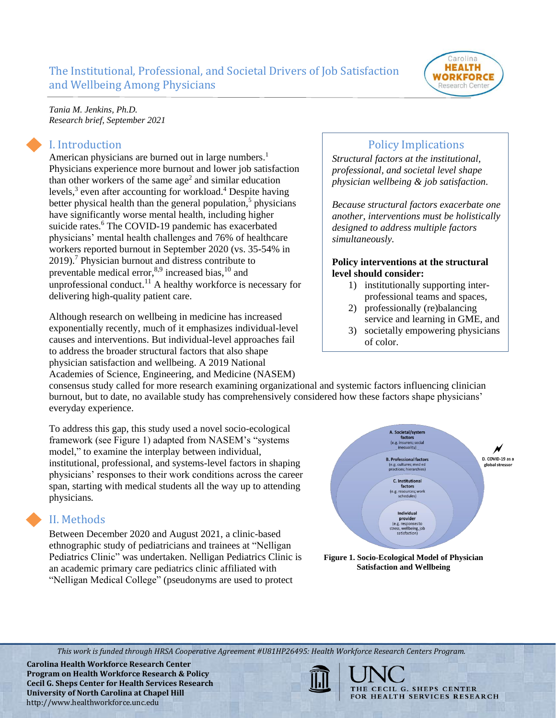

*Tania M. Jenkins, Ph.D. Research brief, September 2021*

#### I. Introduction

American physicians are burned out in large numbers[.](#page-4-0)<sup>1</sup> Physicians experience more burnout and lower job satisfaction than other workers of the same  $age<sup>2</sup>$  $age<sup>2</sup>$  $age<sup>2</sup>$  and similar education levels[,](#page-4-2)<sup>3</sup> even after accounting for workload.<sup>[4](#page-4-3)</sup> Despite having better physical health than the general population[,](#page-4-4)<sup>5</sup> physicians have significantly worse mental health, including higher suicide rates[.](#page-4-5)<sup>6</sup> The COVID-19 pandemic has exacerbated physicians' mental health challenges and 76% of healthcare workers reported burnout in September 2020 (vs. 35-54% in 2019)[.](#page-4-6)<sup>7</sup> Physician burnout and distress contribute to preventable medical error,<sup>[8,](#page-4-7)[9](#page-4-8)</sup> increased bias,<sup>[10](#page-4-9)</sup> and unprofessional conduct.<sup>[11](#page-4-10)</sup> A healthy workforce is necessary for delivering high-quality patient care.

Although research on wellbeing in medicine has increased exponentially recently, much of it emphasizes individual-level causes and interventions. But individual-level approaches fail to address the broader structural factors that also shape physician satisfaction and wellbeing. A 2019 National Academies of Science, Engineering, and Medicine (NASEM)

## Policy Implications

*Structural factors at the institutional, professional, and societal level shape physician wellbeing & job satisfaction.*

*Because structural factors exacerbate one another, interventions must be holistically designed to address multiple factors simultaneously.* 

#### **Policy interventions at the structural level should consider:**

- 1) institutionally supporting interprofessional teams and spaces,
- 2) professionally (re)balancing service and learning in GME, and
- 3) societally empowering physicians of color.

consensus study called for more research examining organizational and systemic factors influencing clinician burnout, but to date, no available study has comprehensively considered how these factors shape physicians' everyday experience.

To address this gap, this study used a novel socio-ecological framework (see Figure 1) adapted from NASEM's "systems model," to examine the interplay between individual, institutional, professional, and systems-level factors in shaping physicians' responses to their work conditions across the career span, starting with medical students all the way up to attending physicians*.*

# II. Methods

Between December 2020 and August 2021, a clinic-based ethnographic study of pediatricians and trainees at "Nelligan Pediatrics Clinic" was undertaken. Nelligan Pediatrics Clinic is an academic primary care pediatrics clinic affiliated with "Nelligan Medical College" (pseudonyms are used to protect





*This work is funded through HRSA Cooperative Agreement #U81HP26495: Health Workforce Research Centers Program.*

**Carolina Health Workforce Research Center Program on Health Workforce Research & Policy Cecil G. Sheps Center for Health Services Research University of North Carolina at Chapel Hill** http://www.healthworkforce.unc.edu

THE CECIL G. SHEPS CENTER FOR HEALTH SERVICES RESEARCH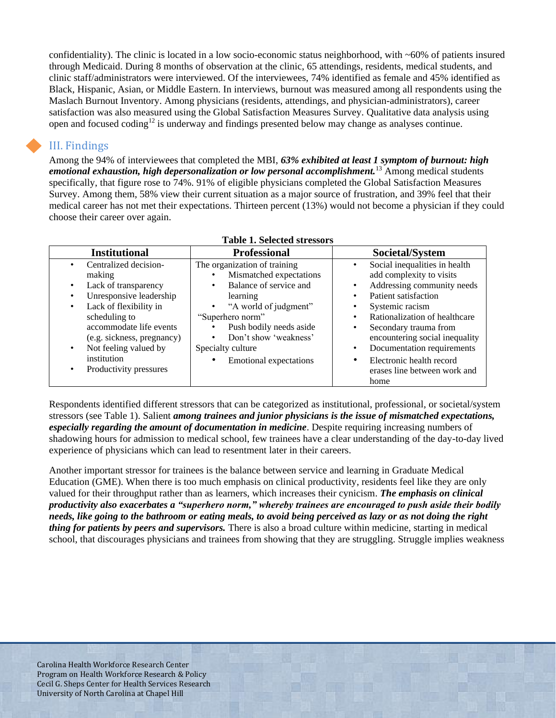confidentiality). The clinic is located in a low socio-economic status neighborhood, with  $~60\%$  of patients insured through Medicaid. During 8 months of observation at the clinic, 65 attendings, residents, medical students, and clinic staff/administrators were interviewed. Of the interviewees, 74% identified as female and 45% identified as Black, Hispanic, Asian, or Middle Eastern. In interviews, burnout was measured among all respondents using the Maslach Burnout Inventory. Among physicians (residents, attendings, and physician-administrators), career satisfaction was also measured using the Global Satisfaction Measures Survey. Qualitative data analysis using open and focused coding<sup>[12](#page-4-11)</sup> is underway and findings presented below may change as analyses continue.

### III. Findings

Among the 94% of interviewees that completed the MBI, *63% exhibited at least 1 symptom of burnout: high emotional exhaustion, high depersonalization or low personal accomplishment.*[13](#page-4-12) Among medical students specifically, that figure rose to 74%. 91% of eligible physicians completed the Global Satisfaction Measures Survey. Among them, 58% view their current situation as a major source of frustration, and 39% feel that their medical career has not met their expectations. Thirteen percent (13%) would not become a physician if they could choose their career over again.

| <b>Institutional</b><br><b>Professional</b><br>Societal/System<br>The organization of training<br>Social inequalities in health<br>Centralized decision-<br>$\bullet$<br>$\bullet$<br>Mismatched expectations<br>add complexity to visits<br>making<br>Balance of service and<br>Addressing community needs<br>Lack of transparency<br>٠<br>$\bullet$<br>$\bullet$<br>Unresponsive leadership<br>Patient satisfaction<br>learning<br>Lack of flexibility in<br>"A world of judgment"<br>Systemic racism<br>٠<br>$\bullet$<br>Rationalization of healthcare<br>scheduling to<br>"Superhero norm"<br>$\bullet$<br>accommodate life events<br>Push bodily needs aside<br>Secondary trauma from<br>٠<br>Don't show 'weakness'<br>encountering social inequality<br>(e.g. sickness, pregnancy)<br>$\bullet$<br>Not feeling valued by<br>Documentation requirements<br>Specialty culture<br>$\bullet$<br>٠<br>institution<br>Electronic health record<br><b>Emotional expectations</b><br>٠<br>Productivity pressures<br>$\bullet$<br>erases line between work and | Table 1. Belected 3th essol s |  |      |
|--------------------------------------------------------------------------------------------------------------------------------------------------------------------------------------------------------------------------------------------------------------------------------------------------------------------------------------------------------------------------------------------------------------------------------------------------------------------------------------------------------------------------------------------------------------------------------------------------------------------------------------------------------------------------------------------------------------------------------------------------------------------------------------------------------------------------------------------------------------------------------------------------------------------------------------------------------------------------------------------------------------------------------------------------------------|-------------------------------|--|------|
|                                                                                                                                                                                                                                                                                                                                                                                                                                                                                                                                                                                                                                                                                                                                                                                                                                                                                                                                                                                                                                                              |                               |  |      |
|                                                                                                                                                                                                                                                                                                                                                                                                                                                                                                                                                                                                                                                                                                                                                                                                                                                                                                                                                                                                                                                              |                               |  | home |

#### **Table 1. Selected stressors**

Respondents identified different stressors that can be categorized as institutional, professional, or societal/system stressors (see Table 1). Salient *among trainees and junior physicians is the issue of mismatched expectations, especially regarding the amount of documentation in medicine*. Despite requiring increasing numbers of shadowing hours for admission to medical school, few trainees have a clear understanding of the day-to-day lived experience of physicians which can lead to resentment later in their careers.

Another important stressor for trainees is the balance between service and learning in Graduate Medical Education (GME). When there is too much emphasis on clinical productivity, residents feel like they are only valued for their throughput rather than as learners, which increases their cynicism. *The emphasis on clinical productivity also exacerbates a "superhero norm," whereby trainees are encouraged to push aside their bodily needs, like going to the bathroom or eating meals, to avoid being perceived as lazy or as not doing the right thing for patients by peers and supervisors.* There is also a broad culture within medicine, starting in medical school, that discourages physicians and trainees from showing that they are struggling. Struggle implies weakness

Carolina Health Workforce Research Center Program on Health Workforce Research & Policy Cecil G. Sheps Center for Health Services Research University of North Carolina at Chapel Hill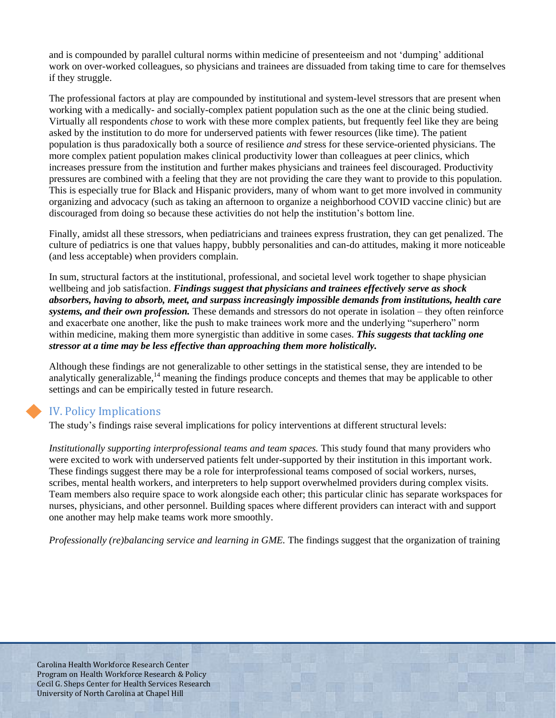and is compounded by parallel cultural norms within medicine of presenteeism and not 'dumping' additional work on over-worked colleagues, so physicians and trainees are dissuaded from taking time to care for themselves if they struggle.

The professional factors at play are compounded by institutional and system-level stressors that are present when working with a medically- and socially-complex patient population such as the one at the clinic being studied. Virtually all respondents *chose* to work with these more complex patients, but frequently feel like they are being asked by the institution to do more for underserved patients with fewer resources (like time). The patient population is thus paradoxically both a source of resilience *and* stress for these service-oriented physicians. The more complex patient population makes clinical productivity lower than colleagues at peer clinics, which increases pressure from the institution and further makes physicians and trainees feel discouraged. Productivity pressures are combined with a feeling that they are not providing the care they want to provide to this population. This is especially true for Black and Hispanic providers, many of whom want to get more involved in community organizing and advocacy (such as taking an afternoon to organize a neighborhood COVID vaccine clinic) but are discouraged from doing so because these activities do not help the institution's bottom line.

Finally, amidst all these stressors, when pediatricians and trainees express frustration, they can get penalized. The culture of pediatrics is one that values happy, bubbly personalities and can-do attitudes, making it more noticeable (and less acceptable) when providers complain.

In sum, structural factors at the institutional, professional, and societal level work together to shape physician wellbeing and job satisfaction. *Findings suggest that physicians and trainees effectively serve as shock absorbers, having to absorb, meet, and surpass increasingly impossible demands from institutions, health care systems, and their own profession.* These demands and stressors do not operate in isolation – they often reinforce and exacerbate one another, like the push to make trainees work more and the underlying "superhero" norm within medicine, making them more synergistic than additive in some cases. *This suggests that tackling one stressor at a time may be less effective than approaching them more holistically.*

Although these findings are not generalizable to other settings in the statistical sense, they are intended to be analytically generalizable,<sup>[14](#page-4-13)</sup> meaning the findings produce concepts and themes that may be applicable to other settings and can be empirically tested in future research.

## IV. Policy Implications

The study's findings raise several implications for policy interventions at different structural levels:

*Institutionally supporting interprofessional teams and team spaces.* This study found that many providers who were excited to work with underserved patients felt under-supported by their institution in this important work. These findings suggest there may be a role for interprofessional teams composed of social workers, nurses, scribes, mental health workers, and interpreters to help support overwhelmed providers during complex visits. Team members also require space to work alongside each other; this particular clinic has separate workspaces for nurses, physicians, and other personnel. Building spaces where different providers can interact with and support one another may help make teams work more smoothly.

*Professionally (re)balancing service and learning in GME.* The findings suggest that the organization of training

Carolina Health Workforce Research Center Program on Health Workforce Research & Policy Cecil G. Sheps Center for Health Services Research University of North Carolina at Chapel Hill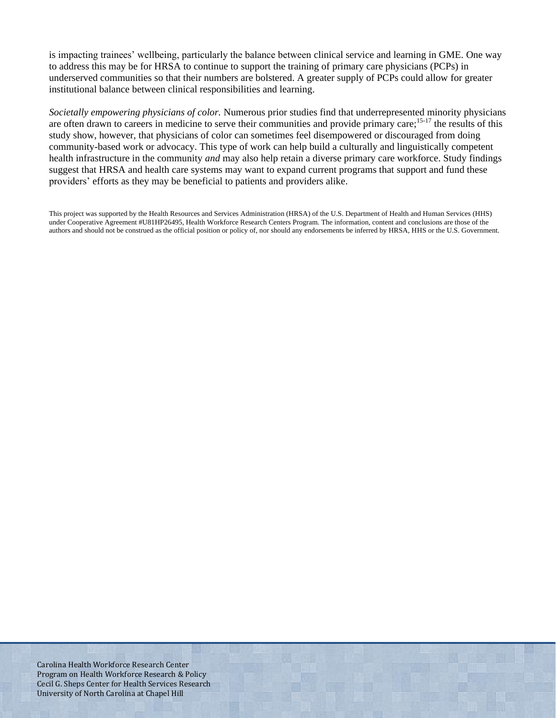is impacting trainees' wellbeing, particularly the balance between clinical service and learning in GME. One way to address this may be for HRSA to continue to support the training of primary care physicians (PCPs) in underserved communities so that their numbers are bolstered. A greater supply of PCPs could allow for greater institutional balance between clinical responsibilities and learning.

*Societally empowering physicians of color.* Numerous prior studies find that underrepresented minority physicians are often drawn to careers in medicine to serve their communities and provide primary care;<sup>[15-17](#page-4-14)</sup> the results of this study show, however, that physicians of color can sometimes feel disempowered or discouraged from doing community-based work or advocacy. This type of work can help build a culturally and linguistically competent health infrastructure in the community *and* may also help retain a diverse primary care workforce. Study findings suggest that HRSA and health care systems may want to expand current programs that support and fund these providers' efforts as they may be beneficial to patients and providers alike.

This project was supported by the Health Resources and Services Administration (HRSA) of the U.S. Department of Health and Human Services (HHS) under Cooperative Agreement #U81HP26495, Health Workforce Research Centers Program. The information, content and conclusions are those of the authors and should not be construed as the official position or policy of, nor should any endorsements be inferred by HRSA, HHS or the U.S. Government.

Carolina Health Workforce Research Center Program on Health Workforce Research & Policy Cecil G. Sheps Center for Health Services Research University of North Carolina at Chapel Hill